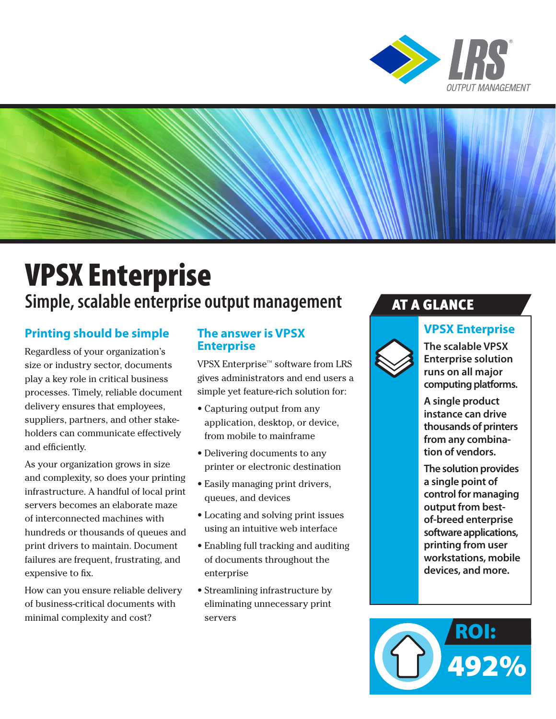



# VPSX Enterprise **Simple, scalable enterprise output management**

## **Printing should be simple**

Regardless of your organization's size or industry sector, documents play a key role in critical business processes. Timely, reliable document delivery ensures that employees, suppliers, partners, and other stakeholders can communicate effectively and efficiently.

As your organization grows in size and complexity, so does your printing infrastructure. A handful of local print servers becomes an elaborate maze of interconnected machines with hundreds or thousands of queues and print drivers to maintain. Document failures are frequent, frustrating, and expensive to fix.

How can you ensure reliable delivery of business-critical documents with minimal complexity and cost?

## **The answer is VPSX Enterprise**

VPSX Enterprise™ software from LRS gives administrators and end users a simple yet feature-rich solution for:

- Capturing output from any application, desktop, or device, from mobile to mainframe
- Delivering documents to any printer or electronic destination
- Easily managing print drivers, queues, and devices
- Locating and solving print issues using an intuitive web interface
- Enabling full tracking and auditing of documents throughout the enterprise
- Streamlining infrastructure by eliminating unnecessary print servers

## AT A GLANCE

## **VPSX Enterprise**



**The scalable VPSX Enterprise solution runs on all major computing platforms.** 

**A single product instance can drive thousands of printers from any combination of vendors.**

**The solution provides a single point of control for managing output from bestof-breed enterprise software applications, printing from user workstations, mobile devices, and more.** 

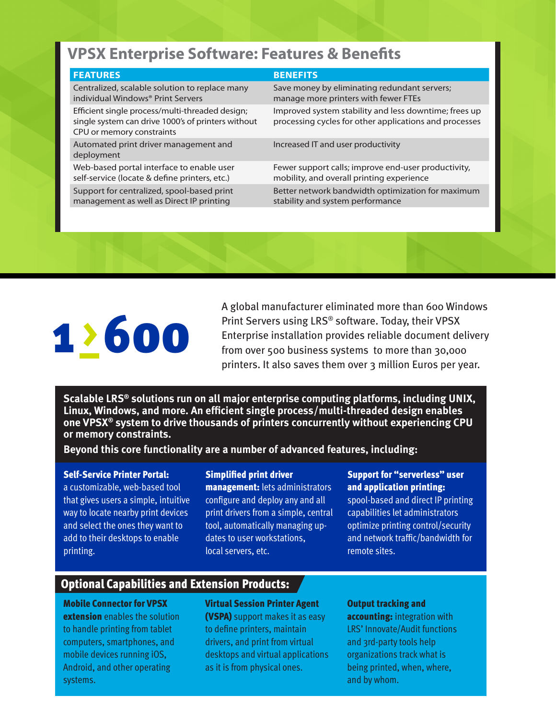## **VPSX Enterprise Software: Features & Benefits**

#### **FEATURES BENEFITS**

Centralized, scalable solution to replace many individual Windows® Print Servers

Efficient single process/multi-threaded design; single system can drive 1000's of printers without CPU or memory constraints

Automated print driver management and deployment

Web-based portal interface to enable user self-service (locate & define printers, etc.) Support for centralized, spool-based print management as well as Direct IP printing

Save money by eliminating redundant servers; manage more printers with fewer FTEs

Improved system stability and less downtime; frees up processing cycles for other applications and processes

Increased IT and user productivity

Fewer support calls; improve end-user productivity, mobility, and overall printing experience Better network bandwidth optimization for maximum stability and system performance

# 1>600

A global manufacturer eliminated more than 600 Windows Print Servers using LRS® software. Today, their VPSX Enterprise installation provides reliable document delivery from over 500 business systems to more than 30,000 printers. It also saves them over 3 million Euros per year.

**Scalable LRS® solutions run on all major enterprise computing platforms, including UNIX, Linux, Windows, and more. An efficient single process/multi-threaded design enables one VPSX® system to drive thousands of printers concurrently without experiencing CPU or memory constraints.** 

**Beyond this core functionality are a number of advanced features, including:**

#### Self-Service Printer Portal:

a customizable, web-based tool that gives users a simple, intuitive way to locate nearby print devices and select the ones they want to add to their desktops to enable printing.

#### Simplified print driver

management: lets administrators configure and deploy any and all print drivers from a simple, central tool, automatically managing updates to user workstations, local servers, etc.

#### Support for "serverless" user and application printing:

spool-based and direct IP printing capabilities let administrators optimize printing control/security and network traffic/bandwidth for remote sites.

## Optional Capabilities and Extension Products:

#### Mobile Connector for VPSX

**extension** enables the solution to handle printing from tablet computers, smartphones, and mobile devices running iOS, Android, and other operating systems.

#### Virtual Session Printer Agent

(VSPA) support makes it as easy to define printers, maintain drivers, and print from virtual desktops and virtual applications as it is from physical ones.

#### Output tracking and

accounting: integration with LRS' Innovate/Audit functions and 3rd-party tools help organizations track what is being printed, when, where, and by whom.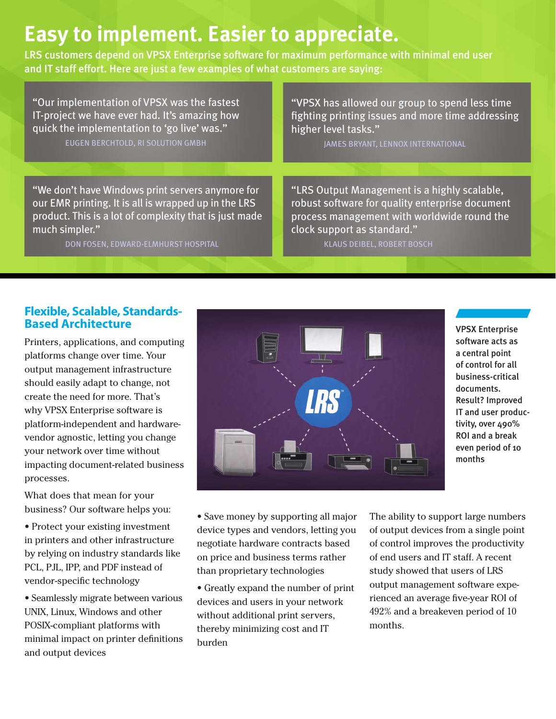## **Easy to implement. Easier to appreciate.**

LRS customers depend on VPSX Enterprise software for maximum performance with minimal end user and IT staff effort. Here are just a few examples of what customers are saying:

"Our implementation of VPSX was the fastest IT-project we have ever had. It's amazing how quick the implementation to 'go live' was." EUGEN BERCHTOLD, RI SOLUTION GMBH

"VPSX has allowed our group to spend less time fighting printing issues and more time addressing higher level tasks."

JAMES BRYANT, LENNOX INTERNATIONAL

"We don't have Windows print servers anymore for our EMR printing. It is all is wrapped up in the LRS product. This is a lot of complexity that is just made much simpler."

DON FOSEN, EDWARD-ELMHURST HOSPITAL

"LRS Output Management is a highly scalable, robust software for quality enterprise document process management with worldwide round the clock support as standard."

KLAUS DEIBEL, ROBERT BOSCH

### **Flexible, Scalable, Standards-Based Architecture**

Printers, applications, and computing platforms change over time. Your output management infrastructure should easily adapt to change, not create the need for more. That's why VPSX Enterprise software is platform-independent and hardwarevendor agnostic, letting you change your network over time without impacting document-related business processes.

What does that mean for your business? Our software helps you:

• Protect your existing investment in printers and other infrastructure by relying on industry standards like PCL, PJL, IPP, and PDF instead of vendor-specific technology

• Seamlessly migrate between various UNIX, Linux, Windows and other POSIX-compliant platforms with minimal impact on printer definitions and output devices



VPSX Enterprise software acts as a central point of control for all business-critical documents. Result? Improved IT and user productivity, over 490% ROI and a break even period of 10 months

• Save money by supporting all major device types and vendors, letting you negotiate hardware contracts based on price and business terms rather than proprietary technologies

• Greatly expand the number of print devices and users in your network without additional print servers, thereby minimizing cost and IT burden

The ability to support large numbers of output devices from a single point of control improves the productivity of end users and IT staff. A recent study showed that users of LRS output management software experienced an average five-year ROI of 492% and a breakeven period of 10 months.